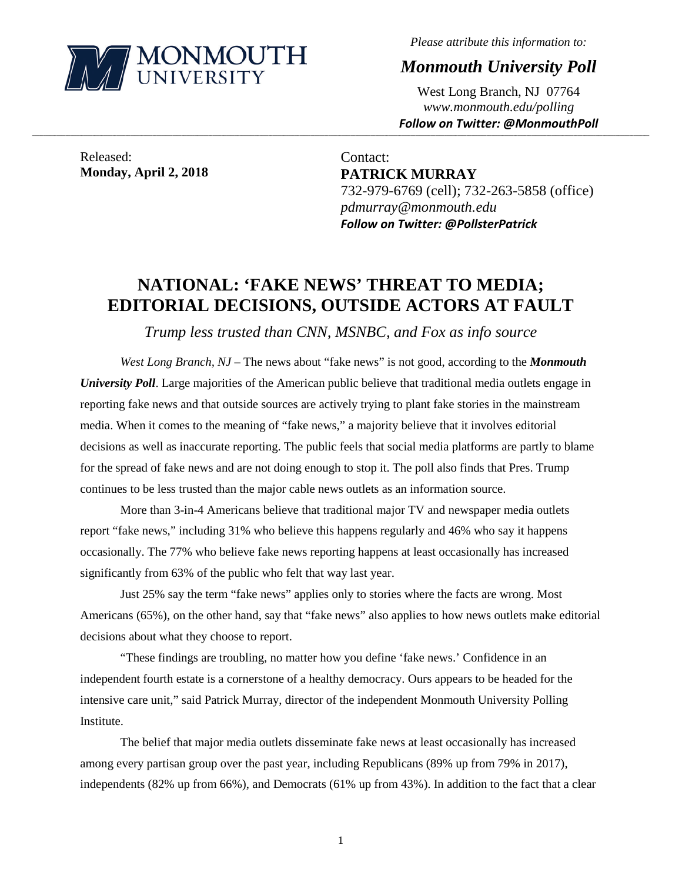

*Please attribute this information to:*

*Monmouth University Poll*

West Long Branch, NJ 07764 *www.monmouth.edu/polling Follow on Twitter: @MonmouthPoll*

Released: **Monday, April 2, 2018**

Contact: **PATRICK MURRAY** 732-979-6769 (cell); 732-263-5858 (office) *pdmurray@monmouth.edu Follow on Twitter: @PollsterPatrick*

# **NATIONAL: 'FAKE NEWS' THREAT TO MEDIA; EDITORIAL DECISIONS, OUTSIDE ACTORS AT FAULT**

**\_\_\_\_\_\_\_\_\_\_\_\_\_\_\_\_\_\_\_\_\_\_\_\_\_\_\_\_\_\_\_\_\_\_\_\_\_\_\_\_\_\_\_\_\_\_\_\_\_\_\_\_\_\_\_\_\_\_\_\_\_\_\_\_\_\_\_\_\_\_\_\_\_\_\_\_\_\_\_\_\_\_\_\_\_\_\_\_\_\_\_\_\_\_\_\_\_\_\_\_\_\_\_\_\_\_\_\_\_\_\_\_\_\_\_\_\_\_\_\_\_\_\_\_\_\_\_\_\_\_\_\_\_\_\_\_\_\_\_\_\_\_\_\_\_\_\_\_\_\_\_\_\_\_\_\_\_\_\_\_\_\_\_\_\_\_\_\_\_\_\_\_\_\_\_\_\_\_\_\_\_\_\_\_\_\_\_\_\_\_\_\_\_\_\_\_\_\_\_\_\_\_\_\_\_\_\_\_\_\_\_\_\_\_\_\_\_\_\_\_\_\_\_\_\_\_\_\_\_\_\_\_\_\_\_\_\_\_\_\_\_\_\_\_\_\_\_\_\_\_\_\_\_\_\_\_\_\_\_\_\_\_\_\_\_\_\_\_\_\_\_\_\_\_\_\_\_**

*Trump less trusted than CNN, MSNBC, and Fox as info source* 

*West Long Branch, NJ* – The news about "fake news" is not good, according to the *Monmouth University Poll.* Large majorities of the American public believe that traditional media outlets engage in reporting fake news and that outside sources are actively trying to plant fake stories in the mainstream media. When it comes to the meaning of "fake news," a majority believe that it involves editorial decisions as well as inaccurate reporting. The public feels that social media platforms are partly to blame for the spread of fake news and are not doing enough to stop it. The poll also finds that Pres. Trump continues to be less trusted than the major cable news outlets as an information source.

More than 3-in-4 Americans believe that traditional major TV and newspaper media outlets report "fake news," including 31% who believe this happens regularly and 46% who say it happens occasionally. The 77% who believe fake news reporting happens at least occasionally has increased significantly from 63% of the public who felt that way last year.

Just 25% say the term "fake news" applies only to stories where the facts are wrong. Most Americans (65%), on the other hand, say that "fake news" also applies to how news outlets make editorial decisions about what they choose to report.

"These findings are troubling, no matter how you define 'fake news.' Confidence in an independent fourth estate is a cornerstone of a healthy democracy. Ours appears to be headed for the intensive care unit," said Patrick Murray, director of the independent Monmouth University Polling Institute.

The belief that major media outlets disseminate fake news at least occasionally has increased among every partisan group over the past year, including Republicans (89% up from 79% in 2017), independents (82% up from 66%), and Democrats (61% up from 43%). In addition to the fact that a clear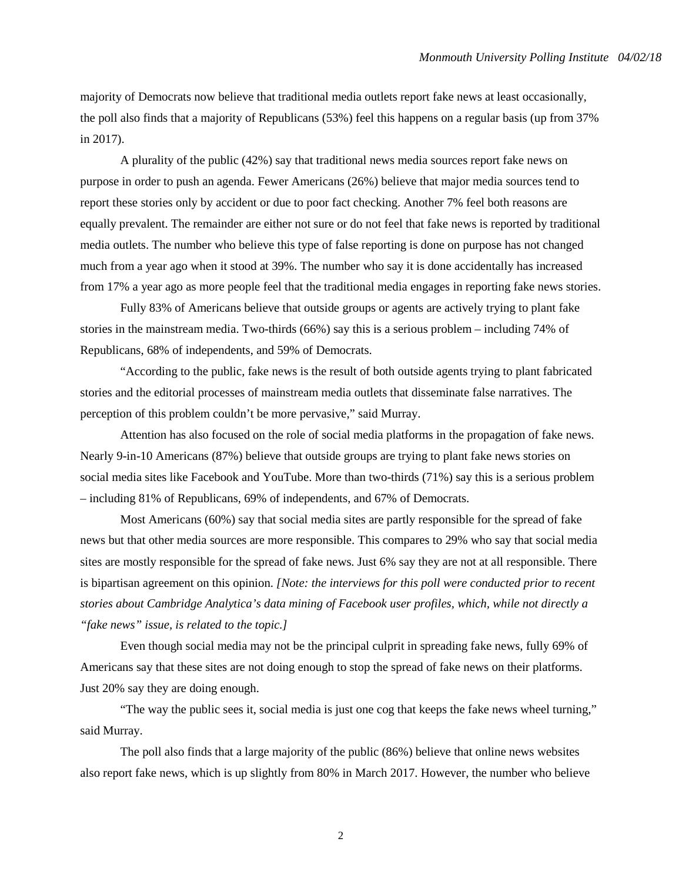majority of Democrats now believe that traditional media outlets report fake news at least occasionally, the poll also finds that a majority of Republicans (53%) feel this happens on a regular basis (up from 37% in 2017).

A plurality of the public (42%) say that traditional news media sources report fake news on purpose in order to push an agenda. Fewer Americans (26%) believe that major media sources tend to report these stories only by accident or due to poor fact checking. Another 7% feel both reasons are equally prevalent. The remainder are either not sure or do not feel that fake news is reported by traditional media outlets. The number who believe this type of false reporting is done on purpose has not changed much from a year ago when it stood at 39%. The number who say it is done accidentally has increased from 17% a year ago as more people feel that the traditional media engages in reporting fake news stories.

Fully 83% of Americans believe that outside groups or agents are actively trying to plant fake stories in the mainstream media. Two-thirds (66%) say this is a serious problem – including 74% of Republicans, 68% of independents, and 59% of Democrats.

"According to the public, fake news is the result of both outside agents trying to plant fabricated stories and the editorial processes of mainstream media outlets that disseminate false narratives. The perception of this problem couldn't be more pervasive," said Murray.

Attention has also focused on the role of social media platforms in the propagation of fake news. Nearly 9-in-10 Americans (87%) believe that outside groups are trying to plant fake news stories on social media sites like Facebook and YouTube. More than two-thirds (71%) say this is a serious problem – including 81% of Republicans, 69% of independents, and 67% of Democrats.

Most Americans (60%) say that social media sites are partly responsible for the spread of fake news but that other media sources are more responsible. This compares to 29% who say that social media sites are mostly responsible for the spread of fake news. Just 6% say they are not at all responsible. There is bipartisan agreement on this opinion. *[Note: the interviews for this poll were conducted prior to recent stories about Cambridge Analytica's data mining of Facebook user profiles, which, while not directly a "fake news" issue, is related to the topic.]*

Even though social media may not be the principal culprit in spreading fake news, fully 69% of Americans say that these sites are not doing enough to stop the spread of fake news on their platforms. Just 20% say they are doing enough.

"The way the public sees it, social media is just one cog that keeps the fake news wheel turning," said Murray.

The poll also finds that a large majority of the public (86%) believe that online news websites also report fake news, which is up slightly from 80% in March 2017. However, the number who believe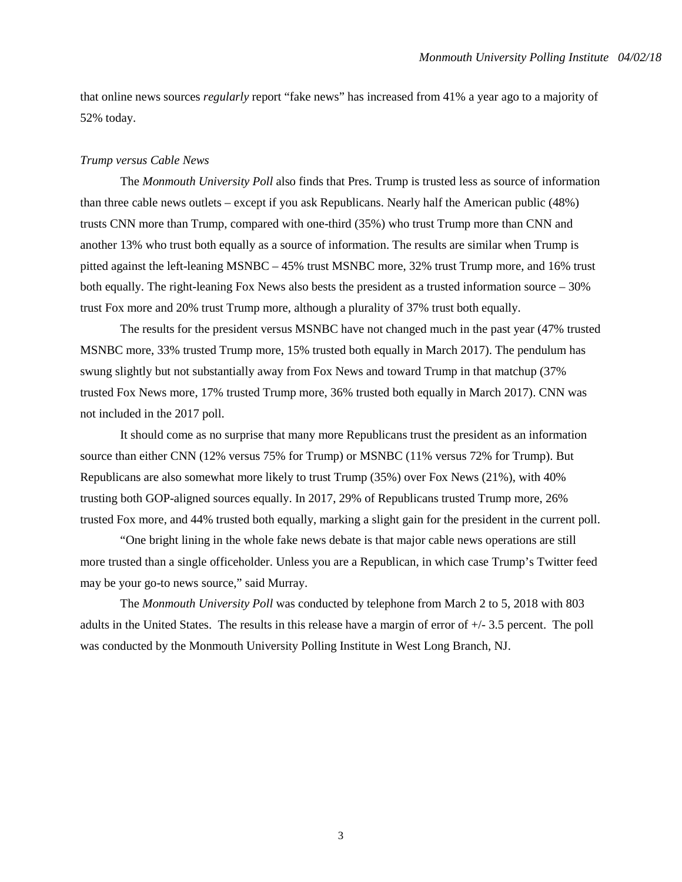that online news sources *regularly* report "fake news" has increased from 41% a year ago to a majority of 52% today.

#### *Trump versus Cable News*

The *Monmouth University Poll* also finds that Pres. Trump is trusted less as source of information than three cable news outlets – except if you ask Republicans. Nearly half the American public (48%) trusts CNN more than Trump, compared with one-third (35%) who trust Trump more than CNN and another 13% who trust both equally as a source of information. The results are similar when Trump is pitted against the left-leaning MSNBC – 45% trust MSNBC more, 32% trust Trump more, and 16% trust both equally. The right-leaning Fox News also bests the president as a trusted information source – 30% trust Fox more and 20% trust Trump more, although a plurality of 37% trust both equally.

The results for the president versus MSNBC have not changed much in the past year (47% trusted MSNBC more, 33% trusted Trump more, 15% trusted both equally in March 2017). The pendulum has swung slightly but not substantially away from Fox News and toward Trump in that matchup (37% trusted Fox News more, 17% trusted Trump more, 36% trusted both equally in March 2017). CNN was not included in the 2017 poll.

It should come as no surprise that many more Republicans trust the president as an information source than either CNN (12% versus 75% for Trump) or MSNBC (11% versus 72% for Trump). But Republicans are also somewhat more likely to trust Trump (35%) over Fox News (21%), with 40% trusting both GOP-aligned sources equally. In 2017, 29% of Republicans trusted Trump more, 26% trusted Fox more, and 44% trusted both equally, marking a slight gain for the president in the current poll.

"One bright lining in the whole fake news debate is that major cable news operations are still more trusted than a single officeholder. Unless you are a Republican, in which case Trump's Twitter feed may be your go-to news source," said Murray.

The *Monmouth University Poll* was conducted by telephone from March 2 to 5, 2018 with 803 adults in the United States. The results in this release have a margin of error of +/- 3.5 percent. The poll was conducted by the Monmouth University Polling Institute in West Long Branch, NJ.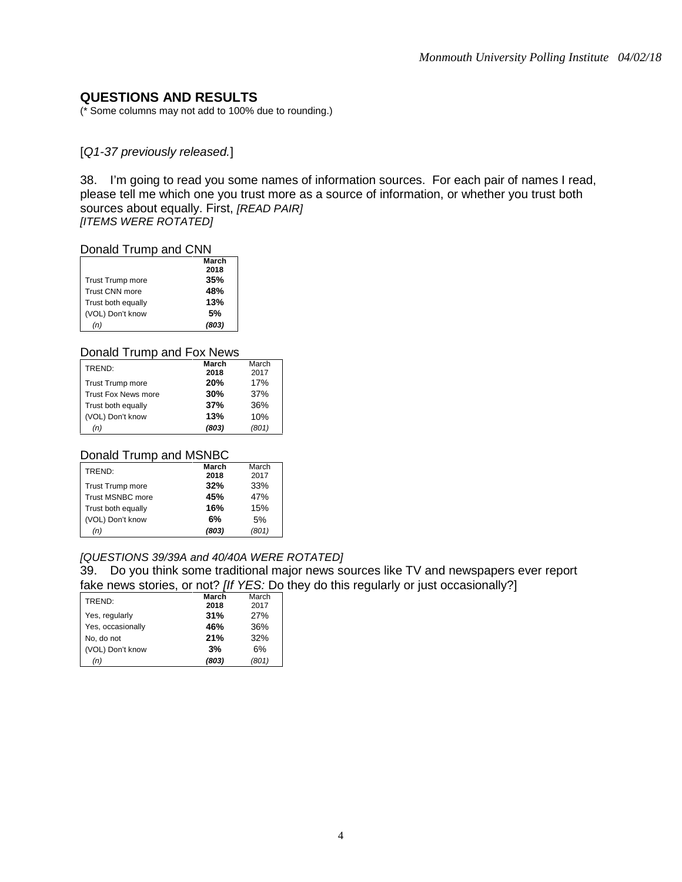### **QUESTIONS AND RESULTS**

(\* Some columns may not add to 100% due to rounding.)

#### [*Q1-37 previously released.*]

38. I'm going to read you some names of information sources. For each pair of names I read, please tell me which one you trust more as a source of information, or whether you trust both sources about equally. First, *[READ PAIR] [ITEMS WERE ROTATED]*

#### Donald Trump and CNN

|                         | March |
|-------------------------|-------|
|                         | 2018  |
| <b>Trust Trump more</b> | 35%   |
| Trust CNN more          | 48%   |
| Trust both equally      | 13%   |
| (VOL) Don't know        | .5%   |
| (n)                     | (803) |

#### Donald Trump and Fox News

| TREND:                     | March | March |
|----------------------------|-------|-------|
|                            | 2018  | 2017  |
| <b>Trust Trump more</b>    | 20%   | 17%   |
| <b>Trust Fox News more</b> | 30%   | 37%   |
| Trust both equally         | 37%   | 36%   |
| (VOL) Don't know           | 13%   | 10%   |
| (n)                        | (803) | (801) |

#### Donald Trump and MSNBC

| TREND <sup>.</sup>      | March | March |
|-------------------------|-------|-------|
|                         | 2018  | 2017  |
| <b>Trust Trump more</b> | 32%   | 33%   |
| Trust MSNBC more        | 45%   | 47%   |
| Trust both equally      | 16%   | 15%   |
| (VOL) Don't know        | 6%    | 5%    |
| (n)                     | (803) | (801) |

#### *[QUESTIONS 39/39A and 40/40A WERE ROTATED]*

39. Do you think some traditional major news sources like TV and newspapers ever report fake news stories, or not? *[If YES:* Do they do this regularly or just occasionally?]

| TREND:            | March | March |
|-------------------|-------|-------|
|                   | 2018  | 2017  |
| Yes, regularly    | 31%   | 27%   |
| Yes, occasionally | 46%   | 36%   |
| No. do not        | 21%   | 32%   |
| (VOL) Don't know  | 3%    | 6%    |
| (n)               | (803) | (801) |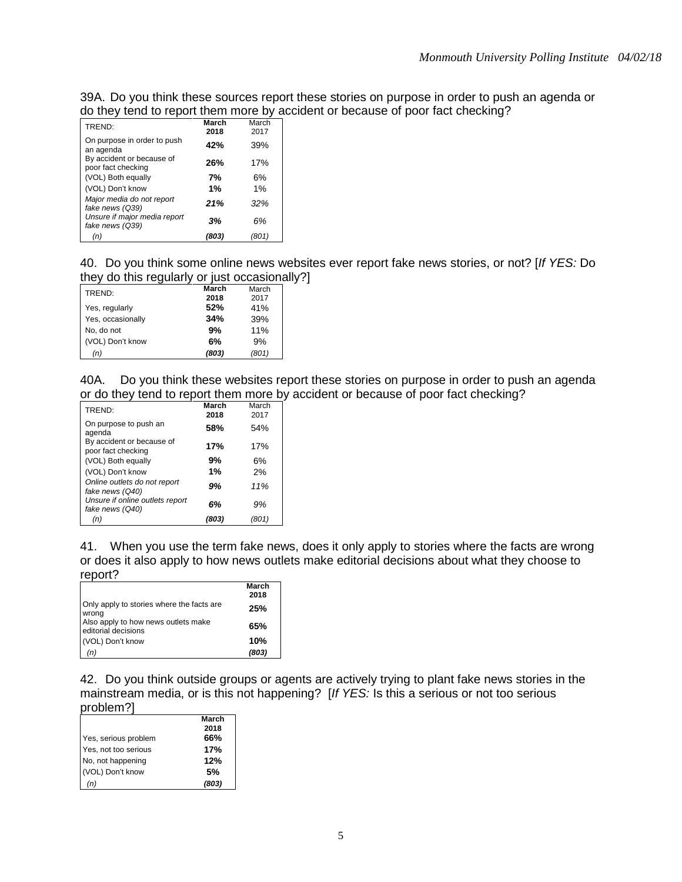39A. Do you think these sources report these stories on purpose in order to push an agenda or do they tend to report them more by accident or because of poor fact checking?

| TREND:                                          | March<br>2018 | March<br>2017 |
|-------------------------------------------------|---------------|---------------|
| On purpose in order to push<br>an agenda        | 42%           | 39%           |
| By accident or because of<br>poor fact checking | 26%           | 17%           |
| (VOL) Both equally                              | 7%            | 6%            |
| (VOL) Don't know                                | 1%            | 1%            |
| Major media do not report<br>fake news (Q39)    | 21%           | 32%           |
| Unsure if major media report<br>fake news (Q39) | 3%            | 6%            |
| (n)                                             | (803)         | (801)         |

40. Do you think some online news websites ever report fake news stories, or not? [*If YES:* Do they do this regularly or just occasionally?]

| TREND:            | March | March |
|-------------------|-------|-------|
|                   | 2018  | 2017  |
| Yes, regularly    | 52%   | 41%   |
| Yes, occasionally | 34%   | 39%   |
| No, do not        | 9%    | 11%   |
| (VOL) Don't know  | 6%    | 9%    |
| (n)               | (803) | (801) |

40A. Do you think these websites report these stories on purpose in order to push an agenda or do they tend to report them more by accident or because of poor fact checking?

| TREND:                                             | March<br>2018 | March<br>2017 |
|----------------------------------------------------|---------------|---------------|
| On purpose to push an<br>agenda                    | 58%           | 54%           |
| By accident or because of<br>poor fact checking    | 17%           | 17%           |
| (VOL) Both equally                                 | 9%            | 6%            |
| (VOL) Don't know                                   | 1%            | 2%            |
| Online outlets do not report<br>fake news (Q40)    | 9%            | 11%           |
| Unsure if online outlets report<br>fake news (Q40) | 6%            | 9%            |
| (n)                                                | (803)         | (801)         |
|                                                    |               |               |

41. When you use the term fake news, does it only apply to stories where the facts are wrong or does it also apply to how news outlets make editorial decisions about what they choose to report?

|                                                            | March<br>2018 |
|------------------------------------------------------------|---------------|
| Only apply to stories where the facts are<br>wrona         | 25%           |
| Also apply to how news outlets make<br>editorial decisions | 65%           |
| (VOL) Don't know                                           | 10%           |
| (n)                                                        | (803)         |

42. Do you think outside groups or agents are actively trying to plant fake news stories in the mainstream media, or is this not happening? [*If YES:* Is this a serious or not too serious problem?]

|                      | March |
|----------------------|-------|
|                      | 2018  |
| Yes, serious problem | 66%   |
| Yes, not too serious | 17%   |
| No, not happening    | 12%   |
| (VOL) Don't know     | .5%   |
| (n)                  | (803) |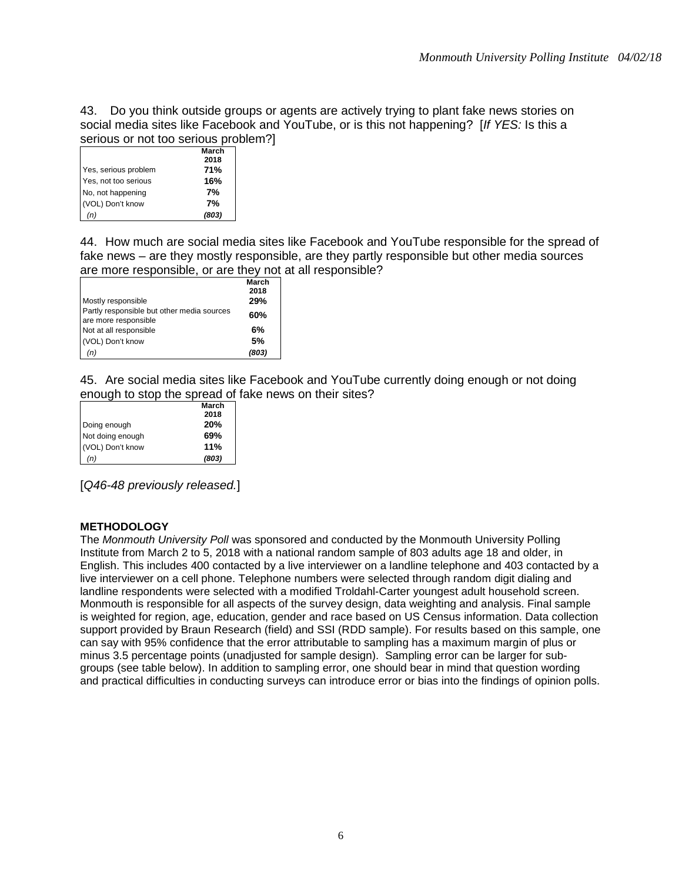43. Do you think outside groups or agents are actively trying to plant fake news stories on social media sites like Facebook and YouTube, or is this not happening? [*If YES:* Is this a serious or not too serious problem?]

|                      | March |
|----------------------|-------|
|                      | 2018  |
| Yes, serious problem | 71%   |
| Yes, not too serious | 16%   |
| No, not happening    | 7%    |
| (VOL) Don't know     | 7%    |
| (n)                  | (803) |

44. How much are social media sites like Facebook and YouTube responsible for the spread of fake news – are they mostly responsible, are they partly responsible but other media sources are more responsible, or are they not at all responsible?

|                                                                    | March<br>2018 |
|--------------------------------------------------------------------|---------------|
| Mostly responsible                                                 | 29%           |
| Partly responsible but other media sources<br>are more responsible | 60%           |
| Not at all responsible                                             | 6%            |
| (VOL) Don't know                                                   | 5%            |
| (n)                                                                | (803)         |

45. Are social media sites like Facebook and YouTube currently doing enough or not doing enough to stop the spread of fake news on their sites?

|                  | March |
|------------------|-------|
|                  | 2018  |
| Doing enough     | 20%   |
| Not doing enough | 69%   |
| (VOL) Don't know | 11%   |
| (n)              | (803) |

[*Q46-48 previously released.*]

#### **METHODOLOGY**

The *Monmouth University Poll* was sponsored and conducted by the Monmouth University Polling Institute from March 2 to 5, 2018 with a national random sample of 803 adults age 18 and older, in English. This includes 400 contacted by a live interviewer on a landline telephone and 403 contacted by a live interviewer on a cell phone. Telephone numbers were selected through random digit dialing and landline respondents were selected with a modified Troldahl-Carter youngest adult household screen. Monmouth is responsible for all aspects of the survey design, data weighting and analysis. Final sample is weighted for region, age, education, gender and race based on US Census information. Data collection support provided by Braun Research (field) and SSI (RDD sample). For results based on this sample, one can say with 95% confidence that the error attributable to sampling has a maximum margin of plus or minus 3.5 percentage points (unadjusted for sample design). Sampling error can be larger for subgroups (see table below). In addition to sampling error, one should bear in mind that question wording and practical difficulties in conducting surveys can introduce error or bias into the findings of opinion polls.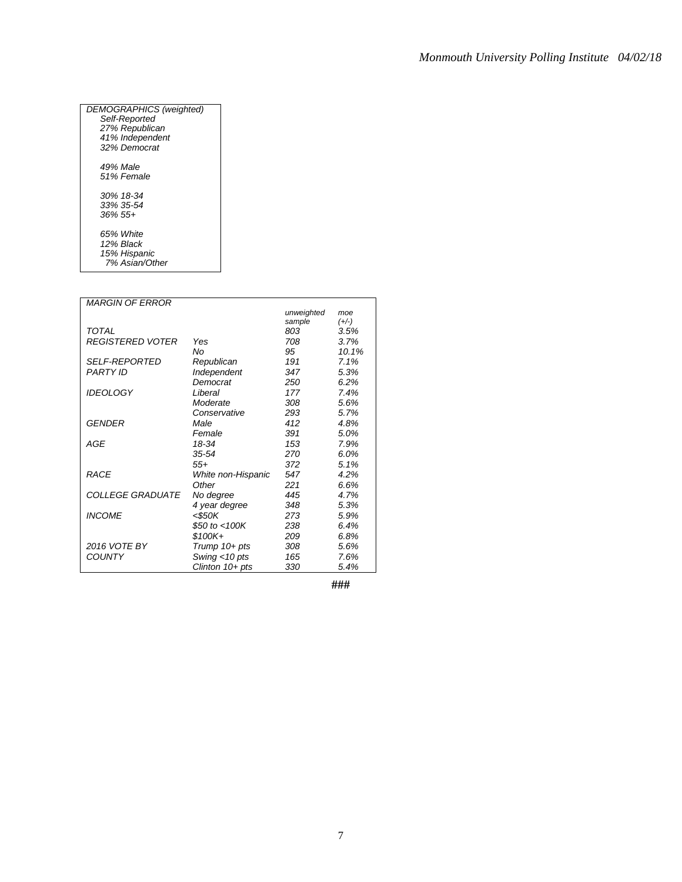| DEMOGRAPHICS (weighted)<br>Self-Reported<br>27% Republican |
|------------------------------------------------------------|
| 41% Independent                                            |
| 32% Democrat                                               |
| 49% Male                                                   |
| 51% Female                                                 |
| 30% 18-34                                                  |
| 33% 35-54                                                  |
| 36% 55+                                                    |
| 65% White                                                  |
| 12% Black                                                  |
| 15% Hispanic                                               |
| 7% Asian/Other                                             |

| <b>MARGIN OF ERROR</b>  |                    |            |         |
|-------------------------|--------------------|------------|---------|
|                         |                    | unweighted | moe     |
|                         |                    | sample     | $(+/-)$ |
| <b>TOTAL</b>            |                    | 803        | 3.5%    |
| <b>REGISTERED VOTER</b> | Yes                | 708        | 3.7%    |
|                         | No                 | 95         | 10.1%   |
| <b>SELF-REPORTED</b>    | Republican         | 191        | 7.1%    |
| <b>PARTY ID</b>         | Independent        | 347        | 5.3%    |
|                         | Democrat           | 250        | 6.2%    |
| <b>IDEOLOGY</b>         | Liberal            | 177        | 7.4%    |
|                         | Moderate           | 308        | 5.6%    |
|                         | Conservative       | 293        | 5.7%    |
| <b>GENDER</b>           | Male               | 412        | 4.8%    |
|                         | Female             | 391        | 5.0%    |
| AGE                     | 18-34              | 153        | 7.9%    |
|                         | 35-54              | 270        | 6.0%    |
|                         | $55+$              | 372        | 5.1%    |
| <b>RACE</b>             | White non-Hispanic | 547        | 4.2%    |
|                         | Other              | 221        | 6.6%    |
| <b>COLLEGE GRADUATE</b> | No degree          | 445        | 4.7%    |
|                         | 4 year degree      | 348        | 5.3%    |
| <b>INCOME</b>           | <\$50K             | 273        | 5.9%    |
|                         | \$50 to $<$ 100K   | 238        | 6.4%    |
|                         | \$100K+            | 209        | 6.8%    |
| 2016 VOTE BY            | Trump $10+pts$     | 308        | 5.6%    |
| <b>COUNTY</b>           | Swing <10 pts      | 165        | 7.6%    |
|                         | Clinton $10+pts$   | 330        | 5.4%    |

**###**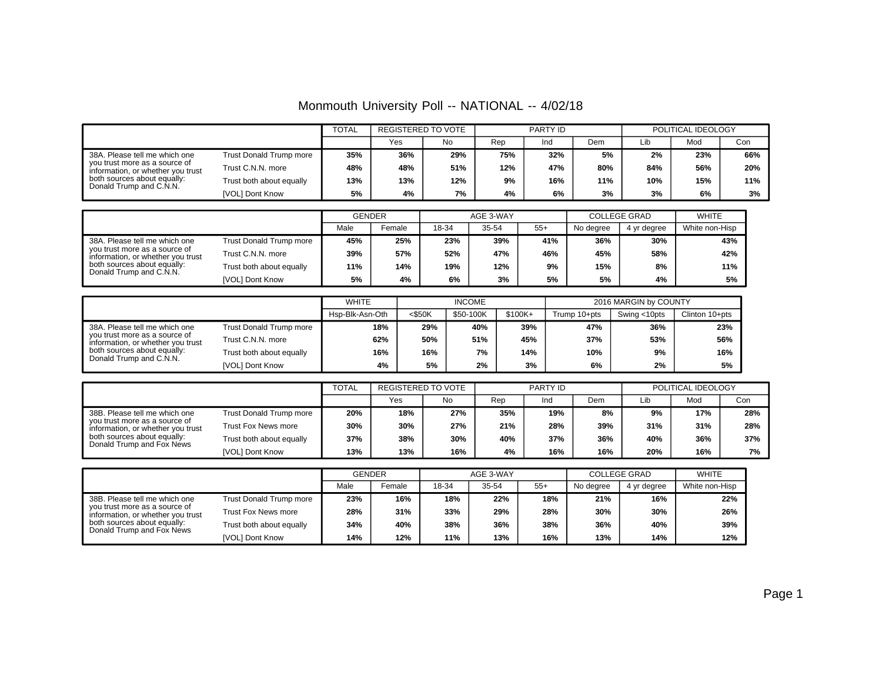|  | Monmouth University Poll -- NATIONAL -- 4/02/18 |
|--|-------------------------------------------------|
|--|-------------------------------------------------|

|                                                                                                                                                               |                          | <b>TOTAL</b> | REGISTERED TO VOTE |     | PARTY ID |     |     | POLITICAL IDEOLOGY |     |     |
|---------------------------------------------------------------------------------------------------------------------------------------------------------------|--------------------------|--------------|--------------------|-----|----------|-----|-----|--------------------|-----|-----|
|                                                                                                                                                               |                          |              | Yes                | No  | Rep      | Ind | Dem | Lib                | Mod | Con |
| 38A. Please tell me which one<br>you trust more as a source of<br>information, or whether you trust<br>both sources about equally:<br>Donald Trump and C.N.N. | Trust Donald Trump more  | 35%          | 36%                | 29% | 75%      | 32% | 5%  | 2%                 | 23% | 66% |
|                                                                                                                                                               | Trust C.N.N. more        | 48%          | 48%                | 51% | 12%      | 47% | 80% | 84%                | 56% | 20% |
|                                                                                                                                                               | Trust both about equally | 13%          | 13%                | 12% | 9%       | 16% | 11% | 10%                | 15% | 11% |
|                                                                                                                                                               | [VOL] Dont Know          | 5%           | 4%                 | 7%  | 4%       | 6%  | 3%  | 3%                 | 6%  | 3%  |

|                                                                                                                                                               |                                |      | <b>GENDER</b> |       | AGE 3-WAY |       | <b>COLLEGE GRAD</b> | <b>WHITE</b> |                |
|---------------------------------------------------------------------------------------------------------------------------------------------------------------|--------------------------------|------|---------------|-------|-----------|-------|---------------------|--------------|----------------|
|                                                                                                                                                               |                                | Male | Female        | 18-34 | 35-54     | $55+$ | No degree           | 4 yr degree  | White non-Hisp |
| 38A. Please tell me which one<br>vou trust more as a source of<br>information, or whether you trust<br>both sources about equally:<br>Donald Trump and C.N.N. | <b>Trust Donald Trump more</b> | 45%  | 25%           | 23%   | 39%       | 41%   | 36%                 | 30%          | 43%            |
|                                                                                                                                                               | Trust C.N.N. more              | 39%  | 57%           | 52%   | 47%       | 46%   | 45%                 | 58%          | 42%            |
|                                                                                                                                                               | Trust both about equally       | 11%  | 14%           | 19%   | 12%       | 9%    | 15%                 | 8%           | 11%            |
|                                                                                                                                                               | [VOL] Dont Know                | 5%   | 4%            | 6%    | 3%        | 5%    | 5%                  | 4%           | 5%             |

|                                                                                                                                                               |                          |     |           | <b>INCOME</b> |          | 2016 MARGIN by COUNTY |              |                |  |
|---------------------------------------------------------------------------------------------------------------------------------------------------------------|--------------------------|-----|-----------|---------------|----------|-----------------------|--------------|----------------|--|
|                                                                                                                                                               |                          |     | $<$ \$50K | \$50-100K     | $$100K+$ | Trump 10+pts          | Swing <10pts | Clinton 10+pts |  |
| 38A. Please tell me which one<br>vou trust more as a source of<br>information, or whether you trust<br>both sources about equally:<br>Donald Trump and C.N.N. | Trust Donald Trump more  | 18% | 29%       | 40%           | 39%      | 47%                   | 36%          | 23%            |  |
|                                                                                                                                                               | Trust C.N.N. more        | 62% | 50%       | 51%           | 45%      | 37%                   | 53%          | 56%            |  |
|                                                                                                                                                               | Trust both about equally | 16% | 16%       | 7%            | 14%      | 10%                   | 9%           | 16%            |  |
|                                                                                                                                                               | [VOL] Dont Know          | 4%  | 5%        | 2%            | 3%       | 6%                    | 2%           | 5%             |  |

|                                                                                                                                                                 |                          | <b>TOTAL</b> | REGISTERED TO VOTE |     |     | PARTY ID |     |     | POLITICAL IDEOLOGY |     |  |
|-----------------------------------------------------------------------------------------------------------------------------------------------------------------|--------------------------|--------------|--------------------|-----|-----|----------|-----|-----|--------------------|-----|--|
|                                                                                                                                                                 |                          |              | Yes                | No  | Rep | Ind      | Dem | Lib | Mod                | Con |  |
| 38B. Please tell me which one<br>vou trust more as a source of<br>information, or whether you trust<br>both sources about equally:<br>Donald Trump and Fox News | Trust Donald Trump more  | 20%          | 18%                | 27% | 35% | 19%      | 8%  | 9%  | 17%                | 28% |  |
|                                                                                                                                                                 | Trust Fox News more      | 30%          | 30%                | 27% | 21% | 28%      | 39% | 31% | 31%                | 28% |  |
|                                                                                                                                                                 | Trust both about equally | 37%          | 38%                | 30% | 40% | 37%      | 36% | 40% | 36%                | 37% |  |
|                                                                                                                                                                 | [VOL] Dont Know          | 13%          | 13%                | 16% | 4%  | 16%      | 16% | 20% | 16%                | 7%  |  |

|                                                                                                                                                                 |                            | <b>GENDER</b> |        |       | AGE 3-WAY |       | <b>COLLEGE GRAD</b> | <b>WHITE</b> |                |
|-----------------------------------------------------------------------------------------------------------------------------------------------------------------|----------------------------|---------------|--------|-------|-----------|-------|---------------------|--------------|----------------|
|                                                                                                                                                                 |                            | Male          | Female | 18-34 | 35-54     | $55+$ | No degree           | 4 yr degree  | White non-Hisp |
| 38B. Please tell me which one<br>vou trust more as a source of<br>information, or whether you trust<br>both sources about equally:<br>Donald Trump and Fox News | Trust Donald Trump more    | 23%           | 16%    | 18%   | 22%       | 18%   | 21%                 | 16%          | 22%            |
|                                                                                                                                                                 | <b>Trust Fox News more</b> | 28%           | 31%    | 33%   | 29%       | 28%   | 30%                 | 30%          | 26%            |
|                                                                                                                                                                 | Trust both about equally   | 34%           | 40%    | 38%   | 36%       | 38%   | 36%                 | 40%          | 39%            |
|                                                                                                                                                                 | [VOL] Dont Know            | 14%           | 12%    | 11%   | 13%       | 16%   | 13%                 | 14%          | 12%            |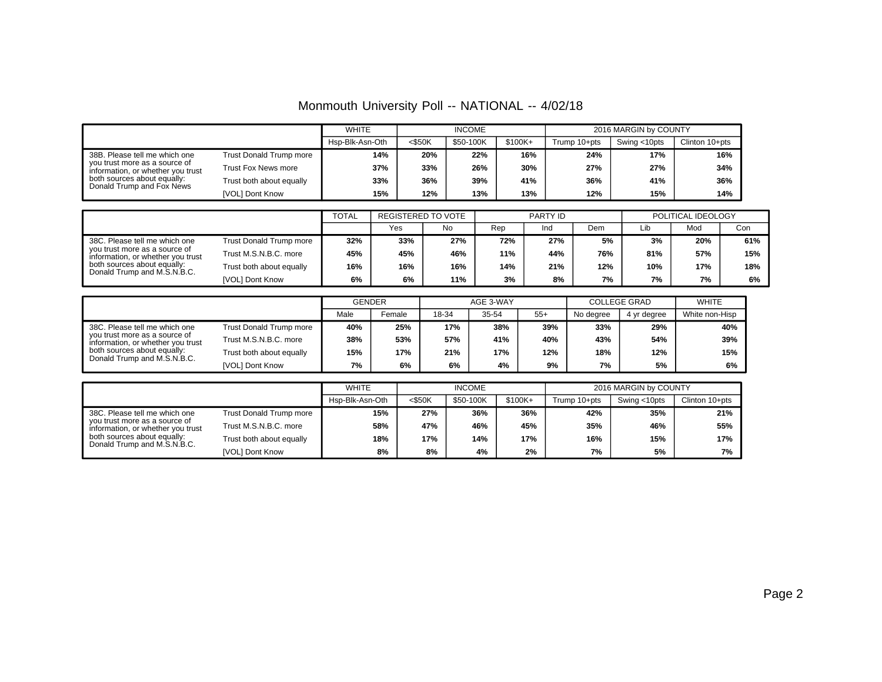|                                                                                                                                                                 |                          | <b>WHITE</b>    |           | <b>INCOME</b> | 2016 MARGIN by COUNTY |              |              |                |
|-----------------------------------------------------------------------------------------------------------------------------------------------------------------|--------------------------|-----------------|-----------|---------------|-----------------------|--------------|--------------|----------------|
|                                                                                                                                                                 |                          | Hsp-Blk-Asn-Oth | $<$ \$50K | \$50-100K     | \$100K+               | Trump 10+pts | Swing <10pts | Clinton 10+pts |
| 38B. Please tell me which one<br>vou trust more as a source of<br>information, or whether you trust<br>both sources about equally:<br>Donald Trump and Fox News | Trust Donald Trump more  | 14%             | 20%       | 22%           | 16%                   | 24%          | 17%          | 16%            |
|                                                                                                                                                                 | Trust Fox News more      | 37%             | 33%       | 26%           | 30%                   | 27%          | 27%          | 34%            |
|                                                                                                                                                                 | Trust both about equally | 33%             | 36%       | 39%           | 41%                   | 36%          | 41%          | 36%            |
|                                                                                                                                                                 | [VOL] Dont Know          | 15%             | 12%       | 13%           | 13%                   | 12%          | 15%          | 14%            |

|                                                                                                                                                                   |                          | <b>TOTAL</b> | REGISTERED TO VOTE |     | PARTY ID |     |     | POLITICAL IDEOLOGY |     |     |
|-------------------------------------------------------------------------------------------------------------------------------------------------------------------|--------------------------|--------------|--------------------|-----|----------|-----|-----|--------------------|-----|-----|
|                                                                                                                                                                   |                          |              | Yes                | No  | Rep      | Ind | Dem | Lib                | Mod | Con |
| 38C. Please tell me which one<br>vou trust more as a source of<br>information, or whether you trust<br>both sources about equally:<br>Donald Trump and M.S.N.B.C. | Trust Donald Trump more  | 32%          | 33%                | 27% | 72%      | 27% | 5%  | 3%                 | 20% | 61% |
|                                                                                                                                                                   | Trust M.S.N.B.C. more    | 45%          | 45%                | 46% | 11%      | 44% | 76% | 81%                | 57% | 15% |
|                                                                                                                                                                   | Trust both about equally | 16%          | 16%                | 16% | 14%      | 21% | 12% | 10%                | 17% | 18% |
|                                                                                                                                                                   | [VOL] Dont Know          | 6%           | 6%                 | 11% | 3%       | 8%  | 7%  | 7%                 | 7%  | 6%  |

|                                                                                                                                                                   |                          | <b>GENDER</b> |        |       | AGE 3-WAY |       | <b>COLLEGE GRAD</b> | <b>WHITE</b> |                |
|-------------------------------------------------------------------------------------------------------------------------------------------------------------------|--------------------------|---------------|--------|-------|-----------|-------|---------------------|--------------|----------------|
|                                                                                                                                                                   |                          | Male          | Female | 18-34 | 35-54     | $55+$ | No degree           | 4 yr degree  | White non-Hisp |
| 38C. Please tell me which one<br>you trust more as a source of<br>information, or whether you trust<br>both sources about equally:<br>Donald Trump and M.S.N.B.C. | Trust Donald Trump more  | 40%           | 25%    | 17%   | 38%       | 39%   | 33%                 | 29%          | 40%            |
|                                                                                                                                                                   | Trust M.S.N.B.C. more    | 38%           | 53%    | 57%   | 41%       | 40%   | 43%                 | 54%          | 39%            |
|                                                                                                                                                                   | Trust both about equally | 15%           | 17%    | 21%   | 17%       | 12%   | 18%                 | 12%          | 15%            |
|                                                                                                                                                                   | <b>IVOLI Dont Know</b>   | 7%            | 6%     | 6%    | 4%        | 9%    | 7%                  | 5%           | 6%             |

|                                                                                                                                                                   |                          | <b>WHITE</b><br><b>INCOME</b> |           |           |           |              | 2016 MARGIN by COUNTY |                |  |  |
|-------------------------------------------------------------------------------------------------------------------------------------------------------------------|--------------------------|-------------------------------|-----------|-----------|-----------|--------------|-----------------------|----------------|--|--|
|                                                                                                                                                                   |                          | Hsp-Blk-Asn-Oth               | $<$ \$50K | \$50-100K | $$100K +$ | Trump 10+pts | Swing <10pts          | Clinton 10+pts |  |  |
| 38C. Please tell me which one<br>vou trust more as a source of<br>information, or whether you trust<br>both sources about equally:<br>Donald Trump and M.S.N.B.C. | Trust Donald Trump more  | 15%                           | 27%       | 36%       | 36%       | 42%          | 35%                   | 21%            |  |  |
|                                                                                                                                                                   | Trust M.S.N.B.C. more    | 58%                           | 47%       | 46%       | 45%       | 35%          | 46%                   | 55%            |  |  |
|                                                                                                                                                                   | Trust both about equally | 18%                           | 17%       | 14%       | 17%       | 16%          | 15%                   | 17%            |  |  |
|                                                                                                                                                                   | [VOL] Dont Know          | 8%                            | 8%        | 4%        | 2%        | 7%           | 5%                    | 7%             |  |  |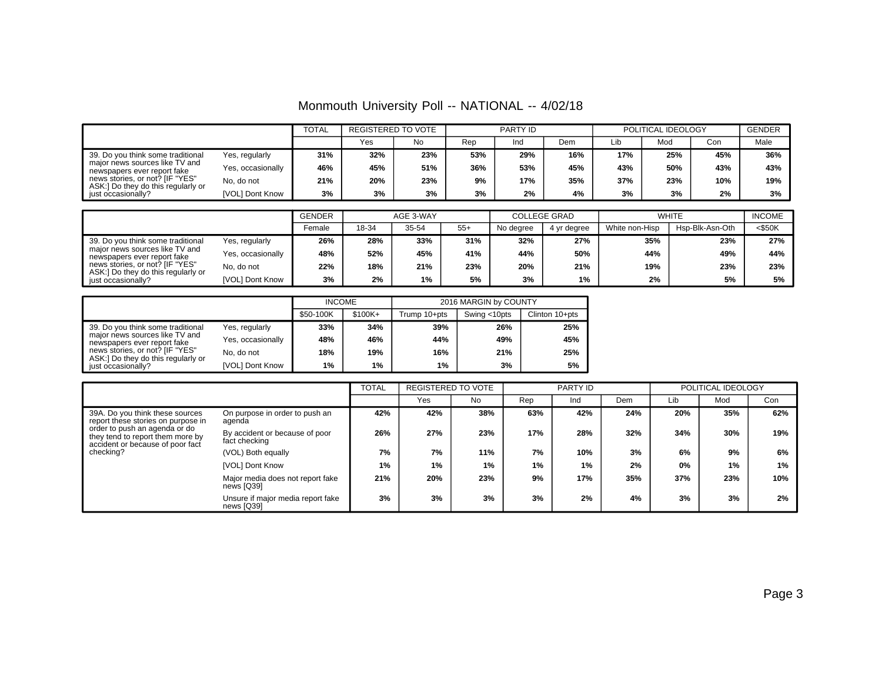|  | Monmouth University Poll -- NATIONAL -- 4/02/18 |
|--|-------------------------------------------------|
|--|-------------------------------------------------|

|                                                                       |                   | <b>TOTAL</b> | REGISTERED TO VOTE |     | PARTY ID |     |     | POLITICAL IDEOLOGY |     |     | <b>GENDER</b> |
|-----------------------------------------------------------------------|-------------------|--------------|--------------------|-----|----------|-----|-----|--------------------|-----|-----|---------------|
|                                                                       |                   |              | Yes                | No  | Rep      | Ind | Dem | Lıb                | Mod | Con | Male          |
| 39. Do you think some traditional                                     | Yes, regularly    | 31%          | 32%                | 23% | 53%      | 29% | 16% | 17%                | 25% | 45% | 36%           |
| major news sources like TV and<br>newspapers ever report fake         | Yes, occasionally | 46%          | 45%                | 51% | 36%      | 53% | 45% | 43%                | 50% | 43% | 43%           |
| news stories, or not? [IF "YES"<br>ASK:] Do they do this regularly or | No, do not        | 21%          | 20%                | 23% | 9%       | 17% | 35% | 37%                | 23% | 10% | 19%           |
| just occasionally?                                                    | [VOL] Dont Know   | 3%           | 3%                 | 3%  | 3%       | 2%  | 4%  | 3%                 | 3%  | 2%  | 3%            |

|                                                                       |                   | <b>GENDER</b><br>AGE 3-WAY |       |       | <b>COLLEGE GRAD</b> |           | <b>WHITE</b> | <b>INCOME</b>  |                 |           |
|-----------------------------------------------------------------------|-------------------|----------------------------|-------|-------|---------------------|-----------|--------------|----------------|-----------------|-----------|
|                                                                       |                   | Female                     | 18-34 | 35-54 | $55+$               | No degree | 4 vr dearee  | White non-Hisp | Hsp-Blk-Asn-Oth | $<$ \$50K |
| 39. Do you think some traditional                                     | Yes, regularly    | 26%                        | 28%   | 33%   | 31%                 | 32%       | 27%          | 35%            | 23%             | 27%       |
| major news sources like TV and<br>newspapers ever report fake         | Yes, occasionally | 48%                        | 52%   | 45%   | 41%                 | 44%       | 50%          | 44%            | 49%             | 44%       |
| news stories, or not? [IF "YES"<br>ASK:] Do they do this regularly or | No. do not        | 22%                        | 18%   | 21%   | 23%                 | 20%       | 21%          | 19%            | 23%             | 23%       |
| just occasionally?                                                    | [VOL] Dont Know   | 3%                         | 2%    | $1\%$ | 5%                  | 3%        | 1%           | 2%             | 5%              | 5%        |

|                                                                       |                   | <b>INCOME</b> |           |              | 2016 MARGIN by COUNTY |                |  |  |
|-----------------------------------------------------------------------|-------------------|---------------|-----------|--------------|-----------------------|----------------|--|--|
|                                                                       |                   | \$50-100K     | $$100K +$ | Trump 10+pts | Swing <10pts          | Clinton 10+pts |  |  |
| 39. Do you think some traditional                                     | Yes, regularly    | 33%           | 34%       | 39%          | 26%                   | 25%            |  |  |
| major news sources like TV and<br>newspapers ever report fake         | Yes, occasionally | 48%           | 46%       | 44%          | 49%                   | 45%            |  |  |
| news stories, or not? [IF "YES"<br>ASK:] Do they do this regularly or | No. do not        | 18%           | 19%       | 16%          | 21%                   | 25%            |  |  |
| iust occasionally?                                                    | IVOLI Dont Know   | 1%            | 1%        | 1%           | 3%                    | 5%             |  |  |

|                                                                                                       |                                                 | TOTAL | <b>REGISTERED TO VOTE</b> |           |     | PARTY ID |     |     | POLITICAL IDEOLOGY |     |
|-------------------------------------------------------------------------------------------------------|-------------------------------------------------|-------|---------------------------|-----------|-----|----------|-----|-----|--------------------|-----|
|                                                                                                       |                                                 |       | Yes                       | <b>No</b> | Rep | Ind      | Dem | Lib | Mod                | Con |
| 39A. Do you think these sources<br>report these stories on purpose in                                 | On purpose in order to push an<br>agenda        | 42%   | 42%                       | 38%       | 63% | 42%      | 24% | 20% | 35%                | 62% |
| order to push an agenda or do<br>they tend to report them more by<br>accident or because of poor fact | By accident or because of poor<br>fact checking | 26%   | 27%                       | 23%       | 17% | 28%      | 32% | 34% | 30%                | 19% |
| checking?                                                                                             | (VOL) Both equally                              | 7%    | 7%                        | 11%       | 7%  | 10%      | 3%  | 6%  | 9%                 | 6%  |
|                                                                                                       | [VOL] Dont Know                                 | 1%    | 1%                        | $1\%$     | 1%  | $1\%$    | 2%  | 0%  | 1%                 | 1%  |
|                                                                                                       | Major media does not report fake<br>news [Q39]  | 21%   | 20%                       | 23%       | 9%  | 17%      | 35% | 37% | 23%                | 10% |
|                                                                                                       | Unsure if major media report fake<br>news [Q39] | 3%    | 3%                        | 3%        | 3%  | 2%       | 4%  | 3%  | 3%                 | 2%  |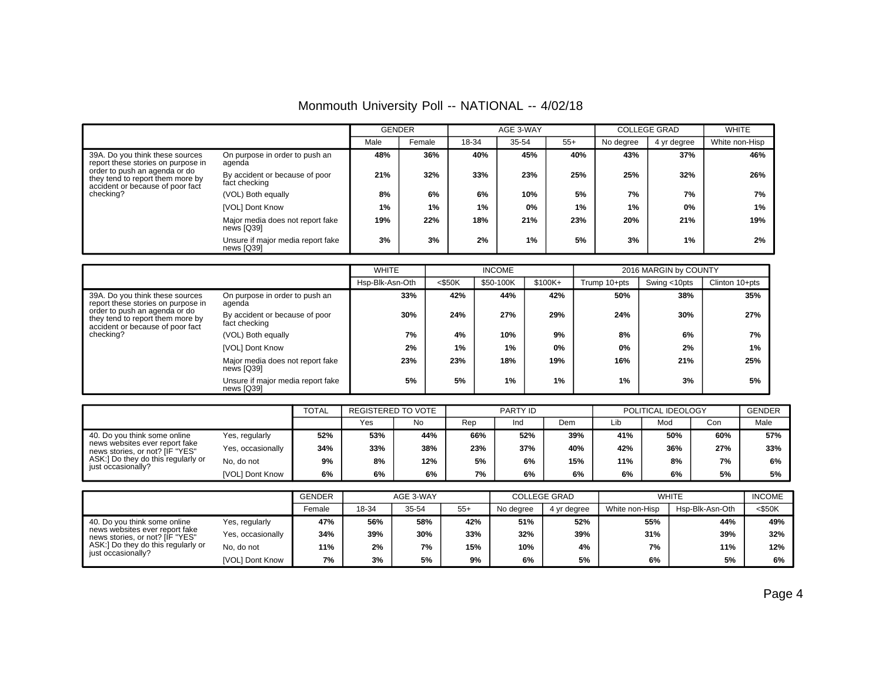| Monmouth University Poll -- NATIONAL -- 4/02/18 |  |  |  |  |
|-------------------------------------------------|--|--|--|--|
|-------------------------------------------------|--|--|--|--|

|                                                                                                       |                                                 | <b>GENDER</b> |        |       | AGE 3-WAY |       |           | <b>COLLEGE GRAD</b> | <b>WHITE</b>   |
|-------------------------------------------------------------------------------------------------------|-------------------------------------------------|---------------|--------|-------|-----------|-------|-----------|---------------------|----------------|
|                                                                                                       |                                                 | Male          | Female | 18-34 | 35-54     | $55+$ | No degree | 4 yr degree         | White non-Hisp |
| 39A. Do you think these sources<br>report these stories on purpose in                                 | On purpose in order to push an<br>agenda        | 48%           | 36%    | 40%   | 45%       | 40%   | 43%       | 37%                 | 46%            |
| order to push an agenda or do<br>they tend to report them more by<br>accident or because of poor fact | By accident or because of poor<br>fact checking | 21%           | 32%    | 33%   | 23%       | 25%   | 25%       | 32%                 | 26%            |
| checking?                                                                                             | (VOL) Both equally                              | 8%            | 6%     | 6%    | 10%       | 5%    | 7%        | 7%                  | 7%             |
|                                                                                                       | [VOL] Dont Know                                 | 1%            | 1%     | 1%    | 0%        | 1%    | $1\%$     | 0%                  | 1%             |
|                                                                                                       | Major media does not report fake<br>news [Q39]  | 19%           | 22%    | 18%   | 21%       | 23%   | 20%       | 21%                 | 19%            |
|                                                                                                       | Unsure if major media report fake<br>news [Q39] | 3%            | 3%     | 2%    | 1%        | 5%    | 3%        | 1%                  | 2%             |

|                                                                                                       |                                                 | <b>WHITE</b>    |           | <b>INCOME</b> |         |              | 2016 MARGIN by COUNTY |                |
|-------------------------------------------------------------------------------------------------------|-------------------------------------------------|-----------------|-----------|---------------|---------|--------------|-----------------------|----------------|
|                                                                                                       |                                                 | Hsp-Blk-Asn-Oth | $<$ \$50K | \$50-100K     | \$100K+ | Trump 10+pts | Swing <10pts          | Clinton 10+pts |
| 39A. Do you think these sources<br>report these stories on purpose in                                 | On purpose in order to push an<br>agenda        | 33%             | 42%       | 44%           | 42%     | 50%          | 38%                   | 35%            |
| order to push an agenda or do<br>they tend to report them more by<br>accident or because of poor fact | By accident or because of poor<br>fact checking | 30%             | 24%       | 27%           | 29%     | 24%          | 30%                   | 27%            |
| checking?                                                                                             | (VOL) Both equally                              | 7%              | 4%        | 10%           | 9%      | 8%           | 6%                    | 7%             |
|                                                                                                       | [VOL] Dont Know                                 | 2%              | 1%        | $1\%$         | 0%      | 0%           | 2%                    | $1\%$          |
|                                                                                                       | Major media does not report fake<br>news [Q39]  | 23%             | 23%       | 18%           | 19%     | 16%          | 21%                   | 25%            |
|                                                                                                       | Unsure if major media report fake<br>news [Q39] | 5%              | 5%        | 1%            | 1%      | 1%           | 3%                    | 5%             |

|                                                                                                   |                   | TOTAL | REGISTERED TO VOTE |     | PARTY ID |     |     | POLITICAL IDEOLOGY |     |     | <b>GENDER</b> |
|---------------------------------------------------------------------------------------------------|-------------------|-------|--------------------|-----|----------|-----|-----|--------------------|-----|-----|---------------|
|                                                                                                   |                   |       | Yes                | No  | Rep      | Ind | Dem | Lib                | Mod | Con | Male          |
| 40. Do you think some online<br>news websites ever report fake<br>news stories, or not? [IF "YES" | Yes, regularly    | 52%   | 53%                | 44% | 66%      | 52% | 39% | 41%                | 50% | 60% | 57%           |
|                                                                                                   | Yes, occasionally | 34%   | 33%                | 38% | 23%      | 37% | 40% | 42%                | 36% | 27% | 33%           |
| ASK:] Do they do this regularly or<br>just occasionally?                                          | No, do not        | 9%    | 8%                 | 12% | 5%       | 6%  | 15% | 11%                | 8%  | 7%  | 6%            |
|                                                                                                   | [VOL] Dont Know   | 6%    | 6%                 | 6%  | 7%       | 6%  | 6%  | 6%                 | 6%  | 5%  | 5%            |

|                                                                   |                   | <b>GENDER</b> | AGE 3-WAY |       |       |           | <b>COLLEGE GRAD</b> | <b>WHITE</b>   | <b>INCOME</b>   |           |
|-------------------------------------------------------------------|-------------------|---------------|-----------|-------|-------|-----------|---------------------|----------------|-----------------|-----------|
|                                                                   |                   | Female        | 18-34     | 35-54 | $55+$ | No degree | 4 vr dearee         | White non-Hisp | Hsp-Blk-Asn-Oth | $<$ \$50K |
| 40. Do you think some online                                      | Yes, regularly    | 47%           | 56%       | 58%   | 42%   | 51%       | 52%                 | 55%            | 44%             | 49%       |
| news websites ever report fake<br>news stories, or not? [IF "YES" | Yes, occasionally | 34%           | 39%       | 30%   | 33%   | 32%       | 39%                 | 31%            | 39%             | 32%       |
| ASK:] Do they do this regularly or<br>just occasionally?          | No, do not        | 11%           | 2%        | 7%    | 15%   | 10%       | 4%                  | 7%             | 11%             | 12%       |
|                                                                   | [VOL] Dont Know   | 7%            | 3%        | 5%    | 9%    | 6%        | 5%                  | 6%             | 5%              | 6%        |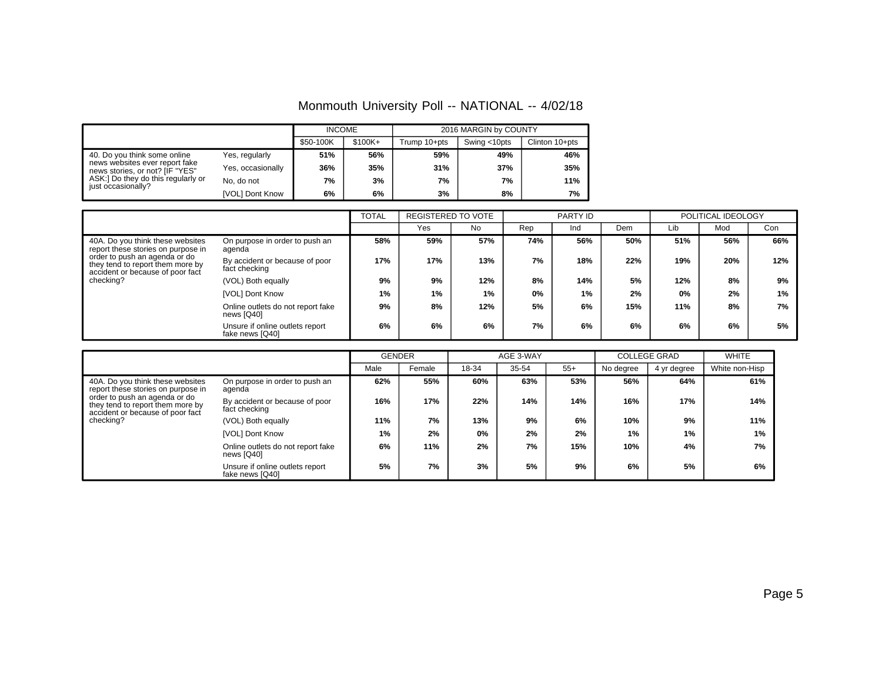## Monmouth University Poll -- NATIONAL -- 4/02/18

|                                                                                                                                                               |                   | <b>INCOME</b> |           |              | 2016 MARGIN by COUNTY |                |
|---------------------------------------------------------------------------------------------------------------------------------------------------------------|-------------------|---------------|-----------|--------------|-----------------------|----------------|
|                                                                                                                                                               |                   | \$50-100K     | $$100K +$ | Trump 10+pts | Swing <10pts          | Clinton 10+pts |
| 40. Do you think some online<br>news websites ever report fake<br>news stories, or not? [IF "YES"<br>ASK:] Do they do this regularly or<br>just occasionally? | Yes, regularly    | 51%           | 56%       | 59%          | 49%                   | 46%            |
|                                                                                                                                                               | Yes, occasionally | 36%           | 35%       | 31%          | 37%                   | 35%            |
|                                                                                                                                                               | No. do not        | 7%            | 3%        | 7%           | 7%                    | 11%            |
|                                                                                                                                                               | [VOL] Dont Know   | 6%            | 6%        | 3%           | 8%                    | 7%             |

|                                                                                                       |                                                    | <b>TOTAL</b> | REGISTERED TO VOTE |       |     | PARTY ID |     |     | POLITICAL IDEOLOGY |     |
|-------------------------------------------------------------------------------------------------------|----------------------------------------------------|--------------|--------------------|-------|-----|----------|-----|-----|--------------------|-----|
|                                                                                                       |                                                    |              | Yes                | No    | Rep | Ind      | Dem | Lib | Mod                | Con |
| 40A. Do you think these websites<br>report these stories on purpose in                                | On purpose in order to push an<br>agenda           | 58%          | 59%                | 57%   | 74% | 56%      | 50% | 51% | 56%                | 66% |
| order to push an agenda or do<br>they tend to report them more by<br>accident or because of poor fact | By accident or because of poor<br>fact checking    | 17%          | 17%                | 13%   | 7%  | 18%      | 22% | 19% | 20%                | 12% |
| checking?                                                                                             | (VOL) Both equally                                 | 9%           | 9%                 | 12%   | 8%  | 14%      | 5%  | 12% | 8%                 | 9%  |
|                                                                                                       | [VOL] Dont Know                                    | 1%           | 1%                 | $1\%$ | 0%  | 1%       | 2%  | 0%  | 2%                 | 1%  |
|                                                                                                       | Online outlets do not report fake<br>news [Q40]    | 9%           | 8%                 | 12%   | 5%  | 6%       | 15% | 11% | 8%                 | 7%  |
|                                                                                                       | Unsure if online outlets report<br>fake news [Q40] | 6%           | 6%                 | 6%    | 7%  | 6%       | 6%  | 6%  | 6%                 | 5%  |

|                                                                                                       |                                                    | <b>GENDER</b> |        |       | AGE 3-WAY |       |           | <b>COLLEGE GRAD</b> | <b>WHITE</b>   |
|-------------------------------------------------------------------------------------------------------|----------------------------------------------------|---------------|--------|-------|-----------|-------|-----------|---------------------|----------------|
|                                                                                                       |                                                    | Male          | Female | 18-34 | 35-54     | $55+$ | No degree | 4 yr degree         | White non-Hisp |
| 40A. Do you think these websites<br>report these stories on purpose in                                | On purpose in order to push an<br>aqenda           | 62%           | 55%    | 60%   | 63%       | 53%   | 56%       | 64%                 | 61%            |
| order to push an agenda or do<br>they tend to report them more by<br>accident or because of poor fact | By accident or because of poor<br>fact checking    | 16%           | 17%    | 22%   | 14%       | 14%   | 16%       | 17%                 | 14%            |
| checking?                                                                                             | (VOL) Both equally                                 | 11%           | 7%     | 13%   | 9%        | 6%    | 10%       | 9%                  | 11%            |
|                                                                                                       | [VOL] Dont Know                                    | $1\%$         | 2%     | 0%    | 2%        | 2%    | 1%        | $1\%$               | 1%             |
|                                                                                                       | Online outlets do not report fake<br>news [Q40]    | 6%            | 11%    | 2%    | 7%        | 15%   | 10%       | 4%                  | 7%             |
|                                                                                                       | Unsure if online outlets report<br>fake news [Q40] | 5%            | 7%     | 3%    | 5%        | 9%    | 6%        | 5%                  | 6%             |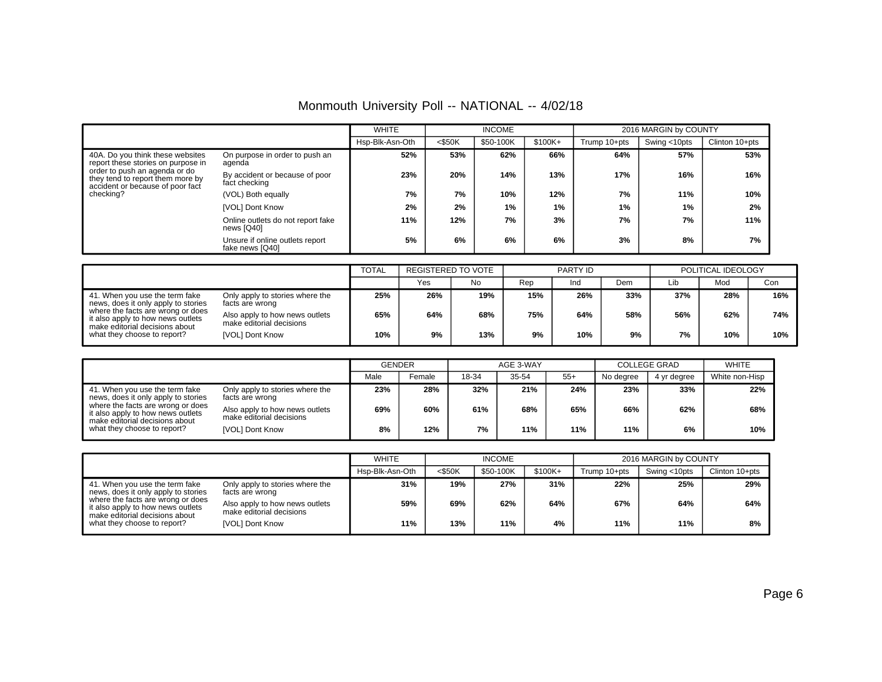|  |  |  | Monmouth University Poll -- NATIONAL -- 4/02/18 |  |  |
|--|--|--|-------------------------------------------------|--|--|
|--|--|--|-------------------------------------------------|--|--|

|                                                                                                       |                                                    | <b>WHITE</b>    |           | <b>INCOME</b> |          |              | 2016 MARGIN by COUNTY |                |
|-------------------------------------------------------------------------------------------------------|----------------------------------------------------|-----------------|-----------|---------------|----------|--------------|-----------------------|----------------|
|                                                                                                       |                                                    | Hsp-Blk-Asn-Oth | $<$ \$50K | \$50-100K     | $$100K+$ | Trump 10+pts | Swing <10pts          | Clinton 10+pts |
| 40A. Do you think these websites<br>report these stories on purpose in                                | On purpose in order to push an<br>agenda           | 52%             | 53%       | 62%           | 66%      | 64%          | 57%                   | 53%            |
| order to push an agenda or do<br>they tend to report them more by<br>accident or because of poor fact | By accident or because of poor<br>fact checking    | 23%             | 20%       | 14%           | 13%      | 17%          | 16%                   | 16%            |
| checking?                                                                                             | (VOL) Both equally                                 | 7%              | 7%        | 10%           | 12%      | 7%           | 11%                   | 10%            |
|                                                                                                       | [VOL] Dont Know                                    | 2%              | 2%        | 1%            | $1\%$    | 1%           | 1%                    | 2%             |
|                                                                                                       | Online outlets do not report fake<br>news [Q40]    | 11%             | 12%       | 7%            | 3%       | 7%           | 7%                    | 11%            |
|                                                                                                       | Unsure if online outlets report<br>fake news [Q40] | 5%              | 6%        | 6%            | 6%       | 3%           | 8%                    | 7%             |

|                                                                                                          |                                                            | <b>TOTAL</b> | REGISTERED TO VOTE |     |     | PARTY ID |     | POLITICAL IDEOLOGY |     |     |
|----------------------------------------------------------------------------------------------------------|------------------------------------------------------------|--------------|--------------------|-----|-----|----------|-----|--------------------|-----|-----|
|                                                                                                          |                                                            |              | Yes                | No. | Rep | Ind      | Dem | Lib                | Mod | Con |
| 41. When you use the term fake<br>news, does it only apply to stories                                    | Only apply to stories where the<br>facts are wrong         | 25%          | 26%                | 19% | 15% | 26%      | 33% | 37%                | 28% | 16% |
| where the facts are wrong or does<br>it also apply to how news outlets<br>make editorial decisions about | Also apply to how news outlets<br>make editorial decisions | 65%          | 64%                | 68% | 75% | 64%      | 58% | 56%                | 62% | 74% |
| what they choose to report?                                                                              | [VOL] Dont Know                                            | 10%          | 9%                 | 13% | 9%  | 10%      | 9%  | 7%                 | 10% | 10% |

|                                                                                                          |                                                            | <b>GENDER</b> |        |       | AGE 3-WAY |       |           | <b>COLLEGE GRAD</b> | <b>WHITE</b>   |
|----------------------------------------------------------------------------------------------------------|------------------------------------------------------------|---------------|--------|-------|-----------|-------|-----------|---------------------|----------------|
|                                                                                                          |                                                            | Male          | Female | 18-34 | 35-54     | $55+$ | No degree | 4 vr dearee         | White non-Hisp |
| 41. When you use the term fake<br>news, does it only apply to stories                                    | Only apply to stories where the<br>facts are wrong         | 23%           | 28%    | 32%   | 21%       | 24%   | 23%       | 33%                 | 22%            |
| where the facts are wrong or does<br>it also apply to how news outlets<br>make editorial decisions about | Also apply to how news outlets<br>make editorial decisions | 69%           | 60%    | 61%   | 68%       | 65%   | 66%       | 62%                 | 68%            |
| what they choose to report?                                                                              | [VOL] Dont Know                                            | 8%            | 12%    | 7%    | 11%       | 11%   | 11%       | 6%                  | 10%            |

|                                                                                                          |                                                            | <b>WHITE</b>    |           | <b>INCOME</b> |           |              | 2016 MARGIN by COUNTY |                |
|----------------------------------------------------------------------------------------------------------|------------------------------------------------------------|-----------------|-----------|---------------|-----------|--------------|-----------------------|----------------|
|                                                                                                          |                                                            | Hsp-Blk-Asn-Oth | $<$ \$50K | \$50-100K     | $$100K +$ | Trump 10+pts | Swing <10pts          | Clinton 10+pts |
| 41. When you use the term fake<br>news, does it only apply to stories                                    | Only apply to stories where the<br>facts are wrong         | 31%             | 19%       | 27%           | 31%       | 22%          | 25%                   | 29%            |
| where the facts are wrong or does<br>it also apply to how news outlets<br>make editorial decisions about | Also apply to how news outlets<br>make editorial decisions | 59%             | 69%       | 62%           | 64%       | 67%          | 64%                   | 64%            |
| what they choose to report?                                                                              | [VOL] Dont Know                                            | 11%             | 13%       | 11%           | 4%        | 11%          | 11%                   | 8%             |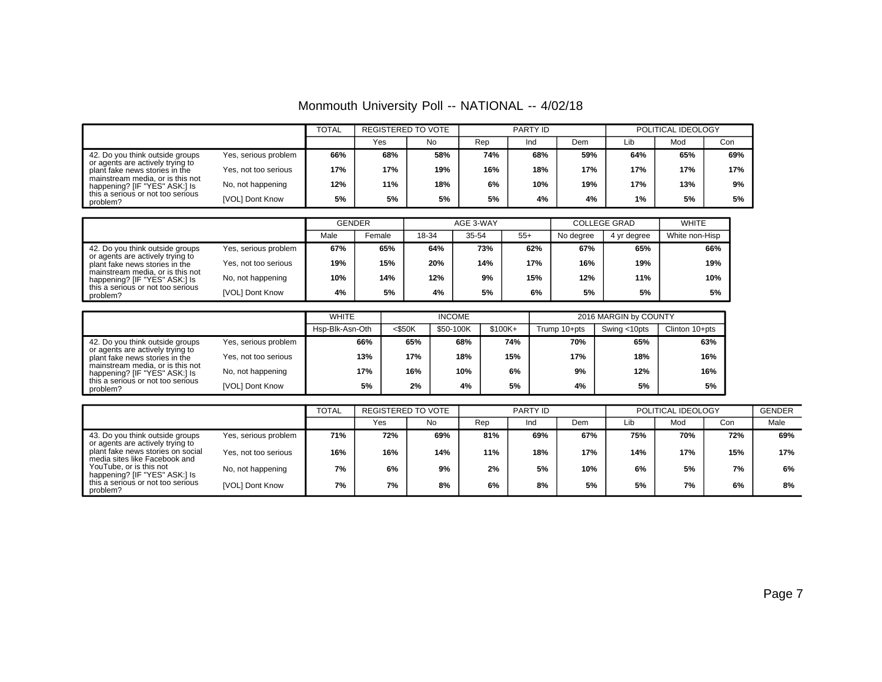Monmouth University Poll -- NATIONAL -- 4/02/18

|                                                                    |                      | <b>TOTAL</b> | <b>REGISTERED TO VOTE</b> |     |     | PARTY ID |     |     | POLITICAL IDEOLOGY |     |
|--------------------------------------------------------------------|----------------------|--------------|---------------------------|-----|-----|----------|-----|-----|--------------------|-----|
|                                                                    |                      |              | Yes                       | No. | Rep | Ind      | Dem | Lib | Mod                | Con |
| 42. Do you think outside groups                                    | Yes, serious problem | 66%          | 68%                       | 58% | 74% | 68%      | 59% | 64% | 65%                | 69% |
| or agents are actively trying to<br>plant fake news stories in the | Yes, not too serious | 17%          | 17%                       | 19% | 16% | 18%      | 17% | 17% | 17%                | 17% |
| mainstream media, or is this not<br>happening? [IF "YES" ASK:] Is  | No, not happening    | 12%          | 11%                       | 18% | 6%  | 10%      | 19% | 17% | 13%                | 9%  |
| this a serious or not too serious<br>problem?                      | [VOL] Dont Know      | 5%           | 5%                        | 5%  | 5%  | 4%       | 4%  | 1%  | 5%                 | 5%  |

|                                                                    |                      | <b>GENDER</b> |        |       | AGE 3-WAY |       |           | <b>COLLEGE GRAD</b> | <b>WHITE</b>   |
|--------------------------------------------------------------------|----------------------|---------------|--------|-------|-----------|-------|-----------|---------------------|----------------|
|                                                                    |                      | Male          | Female | 18-34 | 35-54     | $55+$ | No degree | 4 vr dearee         | White non-Hisp |
| 42. Do you think outside groups                                    | Yes, serious problem | 67%           | 65%    | 64%   | 73%       | 62%   | 67%       | 65%                 | 66%            |
| or agents are actively trying to<br>plant fake news stories in the | Yes, not too serious | 19%           | 15%    | 20%   | 14%       | 17%   | 16%       | 19%                 | 19%            |
| mainstream media, or is this not<br>happening? [IF "YES" ASK:] Is  | No, not happening    | 10%           | 14%    | 12%   | 9%        | 15%   | 12%       | 11%                 | 10%            |
| this a serious or not too serious<br>problem?                      | [VOL] Dont Know      | 4%            | 5%     | 4%    | 5%        | 6%    | 5%        | 5%                  | 5%             |

|                                                                    |                      | <b>WHITE</b>    |           | <b>INCOME</b> |           |              | 2016 MARGIN by COUNTY |                |  |
|--------------------------------------------------------------------|----------------------|-----------------|-----------|---------------|-----------|--------------|-----------------------|----------------|--|
|                                                                    |                      | Hsp-Blk-Asn-Oth | $<$ \$50K | \$50-100K     | $$100K +$ | Trump 10+pts | Swing <10pts          | Clinton 10+pts |  |
| 42. Do you think outside groups                                    | Yes, serious problem | 66%             | 65%       | 68%           | 74%       | 70%          | 65%                   | 63%            |  |
| or agents are actively trying to<br>plant fake news stories in the | Yes, not too serious | 13%             | 17%       | 18%           | 15%       | 17%          | 18%                   | 16%            |  |
| mainstream media, or is this not<br>happening? [IF "YES" ASK:] Is  | No, not happening    | 17%             | 16%       | 10%           | 6%        | 9%           | 12%                   | 16%            |  |
| this a serious or not too serious<br>problem?                      | [VOL] Dont Know      | 5%              | 2%        | 4%            | 5%        | 4%           | 5%                    | 5%             |  |

|                                                                     |                      | <b>TOTAL</b> | <b>REGISTERED TO VOTE</b> |     |     | PARTY ID |     |     | POLITICAL IDEOLOGY |     | <b>GENDER</b> |
|---------------------------------------------------------------------|----------------------|--------------|---------------------------|-----|-----|----------|-----|-----|--------------------|-----|---------------|
|                                                                     |                      |              | Yes                       | No  | Rep | Ind      | Dem | Lib | Mod                | Con | Male          |
| 43. Do you think outside groups<br>or agents are actively trying to | Yes, serious problem | 71%          | 72%                       | 69% | 81% | 69%      | 67% | 75% | 70%                | 72% | 69%           |
| plant fake news stories on social<br>media sites like Facebook and  | Yes, not too serious | 16%          | 16%                       | 14% | 11% | 18%      | 17% | 14% | 17%                | 15% | 17%           |
| YouTube, or is this not<br>happening? [IF "YES" ASK:] Is            | No, not happening    | 7%           | 6%                        | 9%  | 2%  | 5%       | 10% | 6%  | 5%                 | 7%  | 6%            |
| this a serious or not too serious<br>problem?                       | [VOL] Dont Know      | 7%           | 7%                        | 8%  | 6%  | 8%       | 5%  | 5%  | 7%                 | 6%  | 8%            |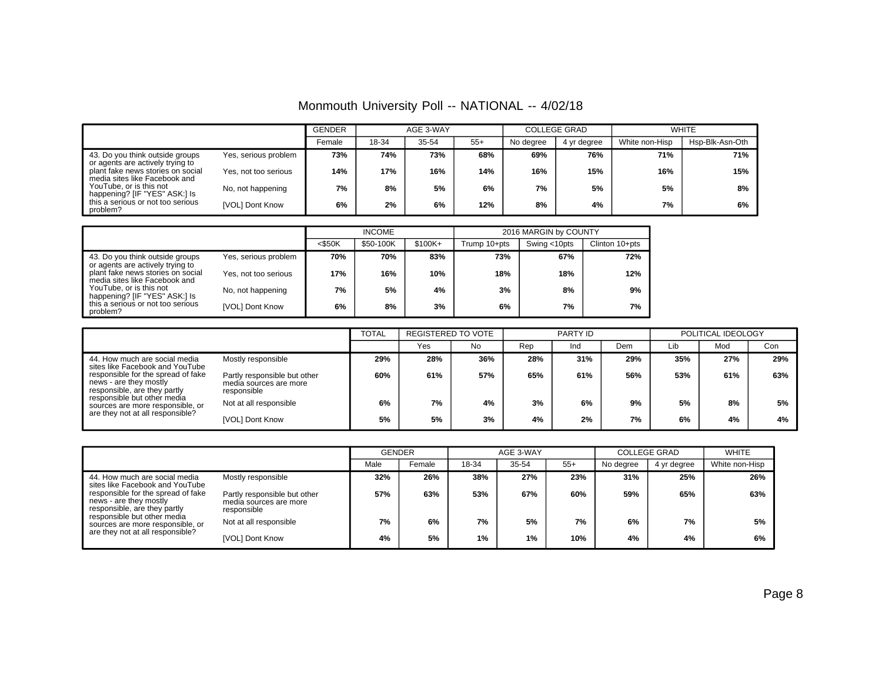Monmouth University Poll -- NATIONAL -- 4/02/18

|                                                                     |                      | <b>GENDER</b><br>AGE 3-WAY |       |       |       | <b>COLLEGE GRAD</b> |             | <b>WHITE</b>   |                 |
|---------------------------------------------------------------------|----------------------|----------------------------|-------|-------|-------|---------------------|-------------|----------------|-----------------|
|                                                                     |                      | Female                     | 18-34 | 35-54 | $55+$ | No degree           | 4 yr degree | White non-Hisp | Hsp-Blk-Asn-Oth |
| 43. Do you think outside groups<br>or agents are actively trying to | Yes, serious problem | 73%                        | 74%   | 73%   | 68%   | 69%                 | 76%         | 71%            | 71%             |
| plant fake news stories on social<br>media sites like Facebook and  | Yes, not too serious | 14%                        | 17%   | 16%   | 14%   | 16%                 | 15%         | 16%            | 15%             |
| YouTube, or is this not<br>happening? [IF "YES" ASK:] Is            | No, not happening    | 7%                         | 8%    | 5%    | 6%    | 7%                  | 5%          | 5%             | 8%              |
| this a serious or not too serious<br>problem?                       | [VOL] Dont Know      | 6%                         | 2%    | 6%    | 12%   | 8%                  | 4%          | 7%             | 6%              |

|                                                                     |                      |           | <b>INCOME</b> |          | 2016 MARGIN by COUNTY |              |                |  |  |
|---------------------------------------------------------------------|----------------------|-----------|---------------|----------|-----------------------|--------------|----------------|--|--|
|                                                                     |                      | $<$ \$50K | \$50-100K     | $$100K+$ | Trump 10+pts          | Swing <10pts | Clinton 10+pts |  |  |
| 43. Do you think outside groups<br>or agents are actively trying to | Yes, serious problem | 70%       | 70%           | 83%      | 73%                   | 67%          | 72%            |  |  |
| plant fake news stories on social<br>media sites like Facebook and  | Yes, not too serious | 17%       | 16%           | 10%      | 18%                   | 18%          | 12%            |  |  |
| YouTube, or is this not<br>happening? [IF "YES" ASK:] Is            | No, not happening    | 7%        | 5%            | 4%       | 3%                    | 8%           | 9%             |  |  |
| this a serious or not too serious<br>problem?                       | [VOL] Dont Know      | 6%        | 8%            | 3%       | 6%                    | 7%           | 7%             |  |  |

|                                                                                                                                                                                                                                     |                                                                       | <b>TOTAL</b> | <b>REGISTERED TO VOTE</b> |     | PARTY ID |     |     | POLITICAL IDEOLOGY |     |     |
|-------------------------------------------------------------------------------------------------------------------------------------------------------------------------------------------------------------------------------------|-----------------------------------------------------------------------|--------------|---------------------------|-----|----------|-----|-----|--------------------|-----|-----|
|                                                                                                                                                                                                                                     |                                                                       |              | Yes                       | No  | Rep      | Ind | Dem | Lib                | Mod | Con |
| 44. How much are social media<br>sites like Facebook and YouTube<br>responsible for the spread of fake<br>news - are they mostly<br>responsible, are they partly<br>responsible but other media<br>sources are more responsible, or | Mostly responsible                                                    | 29%          | 28%                       | 36% | 28%      | 31% | 29% | 35%                | 27% | 29% |
|                                                                                                                                                                                                                                     | Partly responsible but other<br>media sources are more<br>responsible | 60%          | 61%                       | 57% | 65%      | 61% | 56% | 53%                | 61% | 63% |
|                                                                                                                                                                                                                                     | Not at all responsible                                                | 6%           | 7%                        | 4%  | 3%       | 6%  | 9%  | 5%                 | 8%  | 5%  |
| are they not at all responsible?                                                                                                                                                                                                    | [VOL] Dont Know                                                       | 5%           | 5%                        | 3%  | 4%       | 2%  | 7%  | 6%                 | 4%  | 4%  |

|                                                                                                                                                                                                                                     |                                                                       | GENDER |        |       | AGE 3-WAY |       | <b>COLLEGE GRAD</b> | <b>WHITE</b> |                |
|-------------------------------------------------------------------------------------------------------------------------------------------------------------------------------------------------------------------------------------|-----------------------------------------------------------------------|--------|--------|-------|-----------|-------|---------------------|--------------|----------------|
|                                                                                                                                                                                                                                     |                                                                       | Male   | Female | 18-34 | 35-54     | $55+$ | No degree           | 4 yr degree  | White non-Hisp |
| 44. How much are social media<br>sites like Facebook and YouTube<br>responsible for the spread of fake<br>news - are they mostly<br>responsible, are they partly<br>responsible but other media<br>sources are more responsible, or | Mostly responsible                                                    | 32%    | 26%    | 38%   | 27%       | 23%   | 31%                 | 25%          | 26%            |
|                                                                                                                                                                                                                                     | Partly responsible but other<br>media sources are more<br>responsible | 57%    | 63%    | 53%   | 67%       | 60%   | 59%                 | 65%          | 63%            |
|                                                                                                                                                                                                                                     | Not at all responsible                                                | 7%     | 6%     | 7%    | 5%        | 7%    | 6%                  | 7%           | 5%             |
| are they not at all responsible?                                                                                                                                                                                                    | [VOL] Dont Know                                                       | 4%     | 5%     | 1%    | 1%        | 10%   | 4%                  | 4%           | 6%             |